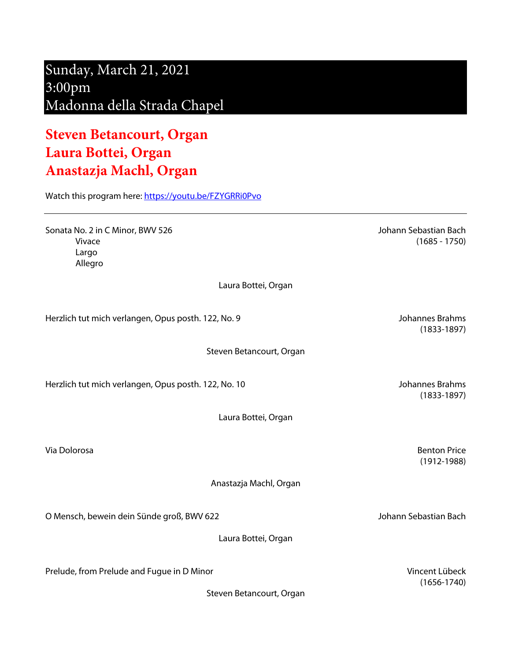## Sunday, March 21, 2021 3:00pm Madonna della Strada Chapel

## **Steven Betancourt, Organ Laura Bottei, Organ Anastazja Machl, Organ**

Watch this program here: https://youtu.be/FZYGRRi0Pvo

Sonata No. 2 in C Minor, BWV 526 Johann Sebastian Bach Vivace (1685 - 1750) Largo Allegro

Laura Bottei, Organ

Herzlich tut mich verlangen, Opus posth. 122, No. 9 Johannes Brahms

Steven Betancourt, Organ

Herzlich tut mich verlangen, Opus posth. 122, No. 10 Johannes Brahms

Laura Bottei, Organ

Anastazja Machl, Organ

O Mensch, bewein dein Sünde groß, BWV 622 Johann Sebastian Bach

Laura Bottei, Organ

Prelude, from Prelude and Fugue in D Minor Vincent Lübeck

Steven Betancourt, Organ

(1833-1897)

(1833-1897)

Via Dolorosa Benton Price (1912-1988)

(1656-1740)